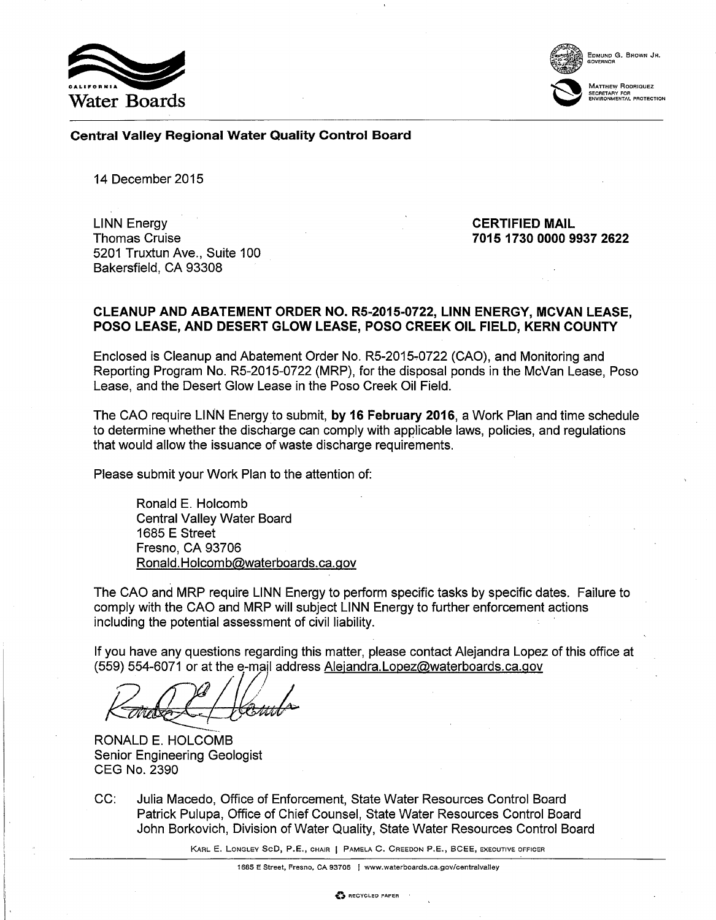



Matthew Rodriquez<br>secretary for<br>environmental protection

### Central Valley Regional Water Quality Control Board

14 December 2015

LINN Energy Thomas Cruise 5201 Truxtun Ave., Suite 100 Bakersfield, CA 93308

CERTIFIED MAIL 7015 1730 0000 9937 2622

### CLEANUP AND ABATEMENT ORDER NO. RS-2015-0722, LINN ENERGY, MCVAN LEASE, POSO LEASE, AND DESERT GLOW LEASE, POSO CREEK OIL FIELD, KERN COUNTY

Enclosed is Cleanup and Abatement Order No. R5-2015-0722 (CAO), and Monitoring and Reporting Program No. R5-2015-0722 (MRP), for the disposal ponds in the McVan Lease, Poso Lease, and the Desert Glow Lease in the Poso Creek Oil Field.

The CAO require LINN Energy to submit, by 16 February 2016, a Work Plan and time schedule to determine whether the discharge can comply with applicable laws, policies, and regulations that would allow the issuance of waste discharge requirements.

Please submit your Work Plan to the attention of:

Ronald E. Holcomb Central Valley Water Board 1685 E Street Fresno, CA 93706 [Ronald.Holcomb@waterboards.ca.go](mailto:Ronald.Holcomb@waterboards.ca.gov)v

The CAO and MRP require LINN Energy to perform specific tasks by specific dates. Failure to comply with the CAO and MRP will subject LINN Energy to further enforcement actions including the potential assessment of civil liability.

If you have any questions regarding this matter, please contact Alejandra Lopez of this office at (559) 554-6071 or at the e-mail addre[ss Alejandra.Lopez@waterboards.ca.go](mailto:Alejandra.Lopez@waterboards.ca.gov)v

Karde Hember

RONALD E. HOLCOMB Senior Engineering Geologist CEG No. 2390

CC: Julia Macedo, Office of Enforcement, State Water Resources Control Board Patrick Pulupa, Office of Chief Counsel, State Water Resources Control Board John Borkovich, Division of Water Quality, State Water Resources Control Board

KARL E. LoNGLEY SeD, P.E., CHAIR 1 PAMELA C. CREEDON P.E., BCEE, EXECUTIVE oFFICER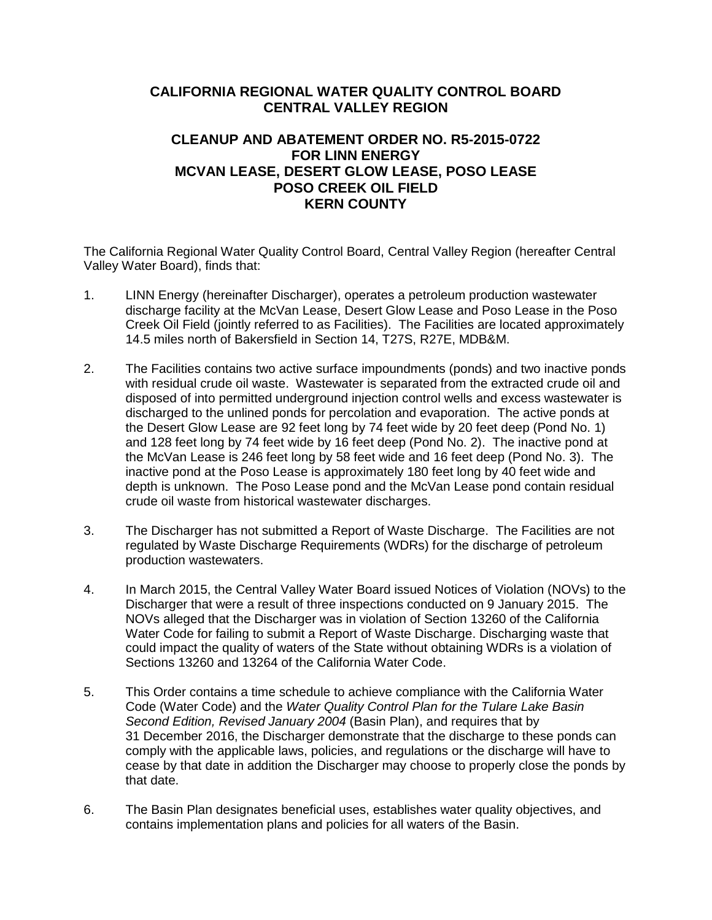# **CALIFORNIA REGIONAL WATER QUALITY CONTROL BOARD CENTRAL VALLEY REGION**

## **CLEANUP AND ABATEMENT ORDER NO. R5-2015-0722 FOR LINN ENERGY MCVAN LEASE, DESERT GLOW LEASE, POSO LEASE POSO CREEK OIL FIELD KERN COUNTY**

The California Regional Water Quality Control Board, Central Valley Region (hereafter Central Valley Water Board), finds that:

- 1. LINN Energy (hereinafter Discharger), operates a petroleum production wastewater discharge facility at the McVan Lease, Desert Glow Lease and Poso Lease in the Poso Creek Oil Field (jointly referred to as Facilities). The Facilities are located approximately 14.5 miles north of Bakersfield in Section 14, T27S, R27E, MDB&M.
- 2. The Facilities contains two active surface impoundments (ponds) and two inactive ponds with residual crude oil waste. Wastewater is separated from the extracted crude oil and disposed of into permitted underground injection control wells and excess wastewater is discharged to the unlined ponds for percolation and evaporation. The active ponds at the Desert Glow Lease are 92 feet long by 74 feet wide by 20 feet deep (Pond No. 1) and 128 feet long by 74 feet wide by 16 feet deep (Pond No. 2). The inactive pond at the McVan Lease is 246 feet long by 58 feet wide and 16 feet deep (Pond No. 3). The inactive pond at the Poso Lease is approximately 180 feet long by 40 feet wide and depth is unknown. The Poso Lease pond and the McVan Lease pond contain residual crude oil waste from historical wastewater discharges.
- 3. The Discharger has not submitted a Report of Waste Discharge. The Facilities are not regulated by Waste Discharge Requirements (WDRs) for the discharge of petroleum production wastewaters.
- 4. In March 2015, the Central Valley Water Board issued Notices of Violation (NOVs) to the Discharger that were a result of three inspections conducted on 9 January 2015. The NOVs alleged that the Discharger was in violation of Section 13260 of the California Water Code for failing to submit a Report of Waste Discharge. Discharging waste that could impact the quality of waters of the State without obtaining WDRs is a violation of Sections 13260 and 13264 of the California Water Code.
- 5. This Order contains a time schedule to achieve compliance with the California Water Code (Water Code) and the *Water Quality Control Plan for the Tulare Lake Basin Second Edition, Revised January 2004* (Basin Plan), and requires that by 31 December 2016, the Discharger demonstrate that the discharge to these ponds can comply with the applicable laws, policies, and regulations or the discharge will have to cease by that date in addition the Discharger may choose to properly close the ponds by that date.
- 6. The Basin Plan designates beneficial uses, establishes water quality objectives, and contains implementation plans and policies for all waters of the Basin.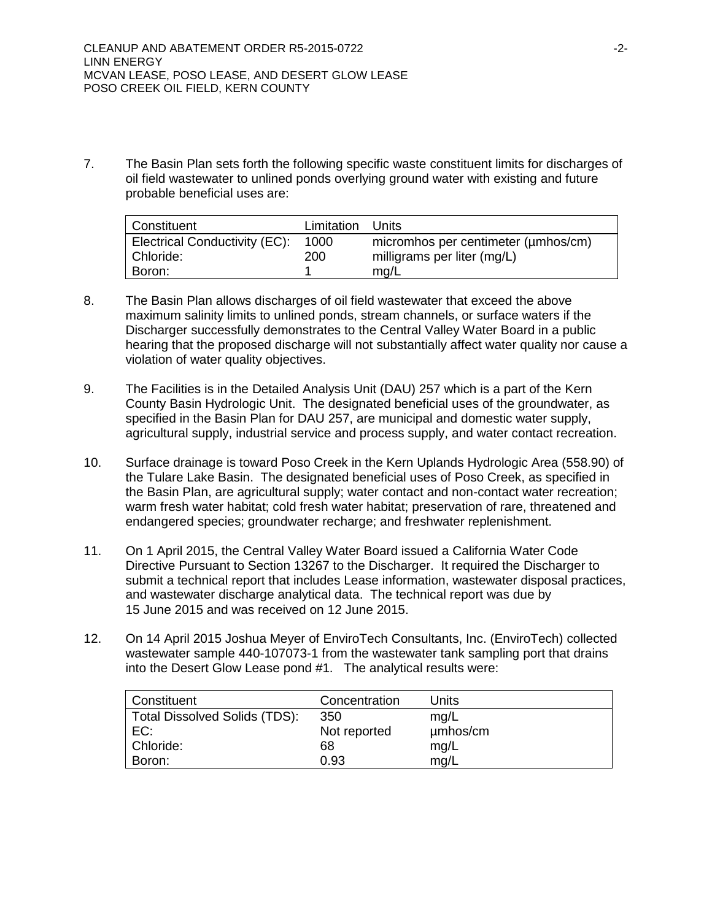7. The Basin Plan sets forth the following specific waste constituent limits for discharges of oil field wastewater to unlined ponds overlying ground water with existing and future probable beneficial uses are:

| Constituent                   | Limitation Units |                                     |
|-------------------------------|------------------|-------------------------------------|
| Electrical Conductivity (EC): | 1000             | micromhos per centimeter (umhos/cm) |
| Chloride:                     | 200              | milligrams per liter (mg/L)         |
| Boron:                        |                  | mg/L                                |

- 8. The Basin Plan allows discharges of oil field wastewater that exceed the above maximum salinity limits to unlined ponds, stream channels, or surface waters if the Discharger successfully demonstrates to the Central Valley Water Board in a public hearing that the proposed discharge will not substantially affect water quality nor cause a violation of water quality objectives.
- 9. The Facilities is in the Detailed Analysis Unit (DAU) 257 which is a part of the Kern County Basin Hydrologic Unit. The designated beneficial uses of the groundwater, as specified in the Basin Plan for DAU 257, are municipal and domestic water supply, agricultural supply, industrial service and process supply, and water contact recreation.
- 10. Surface drainage is toward Poso Creek in the Kern Uplands Hydrologic Area (558.90) of the Tulare Lake Basin. The designated beneficial uses of Poso Creek, as specified in the Basin Plan, are agricultural supply; water contact and non-contact water recreation; warm fresh water habitat; cold fresh water habitat; preservation of rare, threatened and endangered species; groundwater recharge; and freshwater replenishment.
- 11. On 1 April 2015, the Central Valley Water Board issued a California Water Code Directive Pursuant to Section 13267 to the Discharger. It required the Discharger to submit a technical report that includes Lease information, wastewater disposal practices, and wastewater discharge analytical data. The technical report was due by 15 June 2015 and was received on 12 June 2015.
- 12. On 14 April 2015 Joshua Meyer of EnviroTech Consultants, Inc. (EnviroTech) collected wastewater sample 440-107073-1 from the wastewater tank sampling port that drains into the Desert Glow Lease pond #1. The analytical results were:

| Constituent                          | Concentration | Units    |
|--------------------------------------|---------------|----------|
| <b>Total Dissolved Solids (TDS):</b> | 350           | mq/L     |
| EC:                                  | Not reported  | µmbos/cm |
| Chloride:                            | 68            | mg/L     |
| Boron:                               | 0.93          | mq/L     |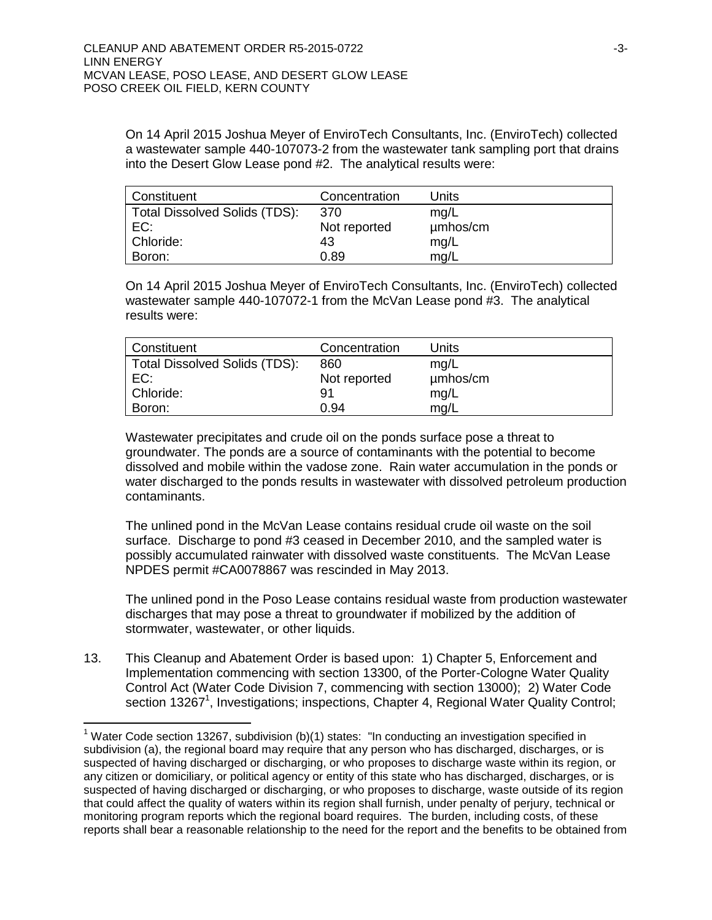On 14 April 2015 Joshua Meyer of EnviroTech Consultants, Inc. (EnviroTech) collected a wastewater sample 440-107073-2 from the wastewater tank sampling port that drains into the Desert Glow Lease pond #2. The analytical results were:

| Constituent                   | Concentration | Units    |
|-------------------------------|---------------|----------|
| Total Dissolved Solids (TDS): | 370           | mg/L     |
| EC:                           | Not reported  | µmbos/cm |
| Chloride:                     | 43            | mg/L     |
| Boron:                        | 0.89          | mg/L     |

On 14 April 2015 Joshua Meyer of EnviroTech Consultants, Inc. (EnviroTech) collected wastewater sample 440-107072-1 from the McVan Lease pond #3. The analytical results were:

| Constituent                   | Concentration | Units    |
|-------------------------------|---------------|----------|
| Total Dissolved Solids (TDS): | 860           | mg/L     |
| EC:                           | Not reported  | umhos/cm |
| Chloride:                     | 91            | mq/L     |
| Boron:                        | 0.94          | mq/L     |

Wastewater precipitates and crude oil on the ponds surface pose a threat to groundwater. The ponds are a source of contaminants with the potential to become dissolved and mobile within the vadose zone. Rain water accumulation in the ponds or water discharged to the ponds results in wastewater with dissolved petroleum production contaminants.

The unlined pond in the McVan Lease contains residual crude oil waste on the soil surface. Discharge to pond #3 ceased in December 2010, and the sampled water is possibly accumulated rainwater with dissolved waste constituents. The McVan Lease NPDES permit #CA0078867 was rescinded in May 2013.

The unlined pond in the Poso Lease contains residual waste from production wastewater discharges that may pose a threat to groundwater if mobilized by the addition of stormwater, wastewater, or other liquids.

13. This Cleanup and Abatement Order is based upon: 1) Chapter 5, Enforcement and Implementation commencing with section 13300, of the Porter-Cologne Water Quality Control Act (Water Code Division 7, commencing with section 13000); 2) Water Code section 13267<sup>1</sup>, Investigations; inspections, Chapter 4, Regional Water Quality Control;

 $\overline{a}$ 

<sup>&</sup>lt;sup>1</sup> Water Code section 13267, subdivision (b)(1) states: "In conducting an investigation specified in subdivision (a), the regional board may require that any person who has discharged, discharges, or is suspected of having discharged or discharging, or who proposes to discharge waste within its region, or any citizen or domiciliary, or political agency or entity of this state who has discharged, discharges, or is suspected of having discharged or discharging, or who proposes to discharge, waste outside of its region that could affect the quality of waters within its region shall furnish, under penalty of perjury, technical or monitoring program reports which the regional board requires. The burden, including costs, of these reports shall bear a reasonable relationship to the need for the report and the benefits to be obtained from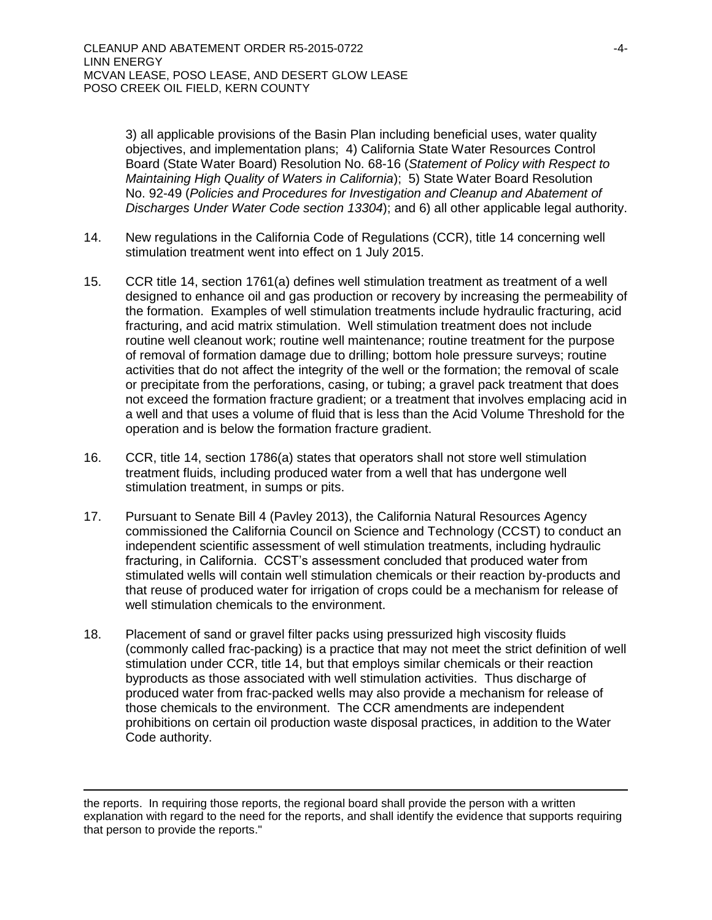3) all applicable provisions of the Basin Plan including beneficial uses, water quality objectives, and implementation plans; 4) California State Water Resources Control Board (State Water Board) Resolution No. 68-16 (*Statement of Policy with Respect to Maintaining High Quality of Waters in California*); 5) State Water Board Resolution No. 92-49 (*Policies and Procedures for Investigation and Cleanup and Abatement of Discharges Under Water Code section 13304*); and 6) all other applicable legal authority.

- 14. New regulations in the California Code of Regulations (CCR), title 14 concerning well stimulation treatment went into effect on 1 July 2015.
- 15. CCR title 14, section 1761(a) defines well stimulation treatment as treatment of a well designed to enhance oil and gas production or recovery by increasing the permeability of the formation. Examples of well stimulation treatments include hydraulic fracturing, acid fracturing, and acid matrix stimulation. Well stimulation treatment does not include routine well cleanout work; routine well maintenance; routine treatment for the purpose of removal of formation damage due to drilling; bottom hole pressure surveys; routine activities that do not affect the integrity of the well or the formation; the removal of scale or precipitate from the perforations, casing, or tubing; a gravel pack treatment that does not exceed the formation fracture gradient; or a treatment that involves emplacing acid in a well and that uses a volume of fluid that is less than the Acid Volume Threshold for the operation and is below the formation fracture gradient.
- 16. CCR, title 14, section 1786(a) states that operators shall not store well stimulation treatment fluids, including produced water from a well that has undergone well stimulation treatment, in sumps or pits.
- 17. Pursuant to Senate Bill 4 (Pavley 2013), the California Natural Resources Agency commissioned the California Council on Science and Technology (CCST) to conduct an independent scientific assessment of well stimulation treatments, including hydraulic fracturing, in California. CCST's assessment concluded that produced water from stimulated wells will contain well stimulation chemicals or their reaction by-products and that reuse of produced water for irrigation of crops could be a mechanism for release of well stimulation chemicals to the environment.
- 18. Placement of sand or gravel filter packs using pressurized high viscosity fluids (commonly called frac-packing) is a practice that may not meet the strict definition of well stimulation under CCR, title 14, but that employs similar chemicals or their reaction byproducts as those associated with well stimulation activities. Thus discharge of produced water from frac-packed wells may also provide a mechanism for release of those chemicals to the environment. The CCR amendments are independent prohibitions on certain oil production waste disposal practices, in addition to the Water Code authority.

 $\overline{a}$ 

the reports. In requiring those reports, the regional board shall provide the person with a written explanation with regard to the need for the reports, and shall identify the evidence that supports requiring that person to provide the reports."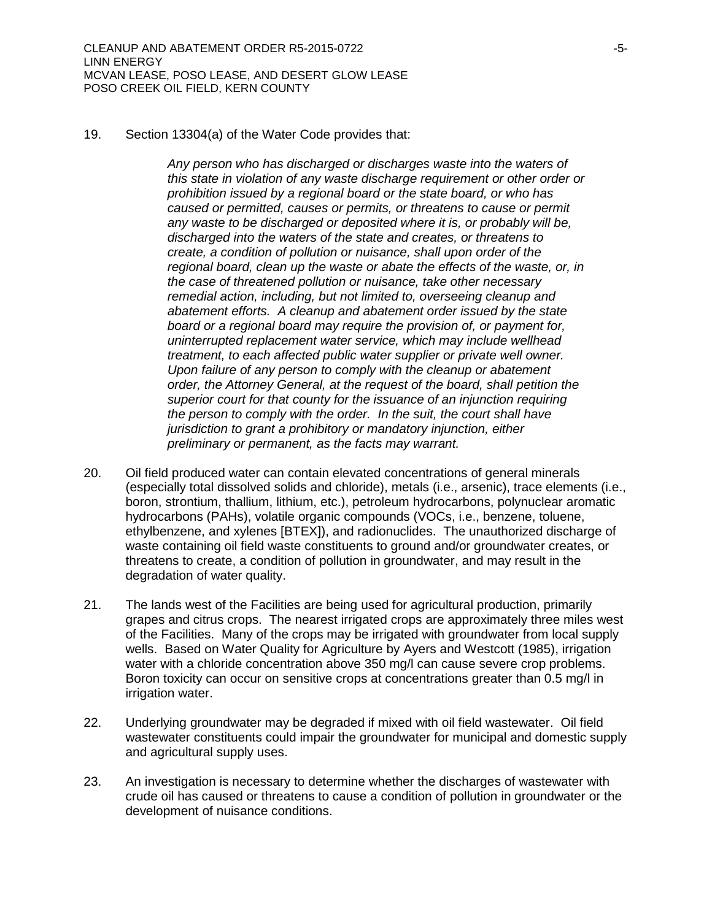19. Section 13304(a) of the Water Code provides that:

*Any person who has discharged or discharges waste into the waters of this state in violation of any waste discharge requirement or other order or prohibition issued by a regional board or the state board, or who has caused or permitted, causes or permits, or threatens to cause or permit any waste to be discharged or deposited where it is, or probably will be, discharged into the waters of the state and creates, or threatens to create, a condition of pollution or nuisance, shall upon order of the regional board, clean up the waste or abate the effects of the waste, or, in the case of threatened pollution or nuisance, take other necessary remedial action, including, but not limited to, overseeing cleanup and abatement efforts. A cleanup and abatement order issued by the state board or a regional board may require the provision of, or payment for, uninterrupted replacement water service, which may include wellhead treatment, to each affected public water supplier or private well owner. Upon failure of any person to comply with the cleanup or abatement order, the Attorney General, at the request of the board, shall petition the superior court for that county for the issuance of an injunction requiring the person to comply with the order. In the suit, the court shall have jurisdiction to grant a prohibitory or mandatory injunction, either preliminary or permanent, as the facts may warrant.*

- 20. Oil field produced water can contain elevated concentrations of general minerals (especially total dissolved solids and chloride), metals (i.e., arsenic), trace elements (i.e., boron, strontium, thallium, lithium, etc.), petroleum hydrocarbons, polynuclear aromatic hydrocarbons (PAHs), volatile organic compounds (VOCs, i.e., benzene, toluene, ethylbenzene, and xylenes [BTEX]), and radionuclides. The unauthorized discharge of waste containing oil field waste constituents to ground and/or groundwater creates, or threatens to create, a condition of pollution in groundwater, and may result in the degradation of water quality.
- 21. The lands west of the Facilities are being used for agricultural production, primarily grapes and citrus crops. The nearest irrigated crops are approximately three miles west of the Facilities. Many of the crops may be irrigated with groundwater from local supply wells. Based on Water Quality for Agriculture by Ayers and Westcott (1985), irrigation water with a chloride concentration above 350 mg/l can cause severe crop problems. Boron toxicity can occur on sensitive crops at concentrations greater than 0.5 mg/l in irrigation water.
- 22. Underlying groundwater may be degraded if mixed with oil field wastewater. Oil field wastewater constituents could impair the groundwater for municipal and domestic supply and agricultural supply uses.
- 23. An investigation is necessary to determine whether the discharges of wastewater with crude oil has caused or threatens to cause a condition of pollution in groundwater or the development of nuisance conditions.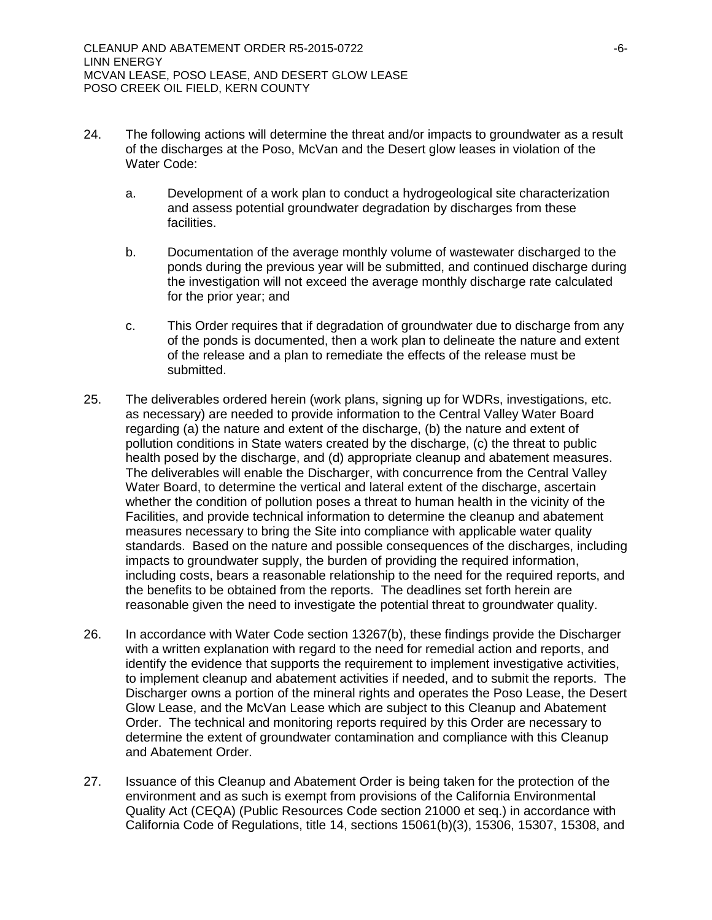- 24. The following actions will determine the threat and/or impacts to groundwater as a result of the discharges at the Poso, McVan and the Desert glow leases in violation of the Water Code:
	- a. Development of a work plan to conduct a hydrogeological site characterization and assess potential groundwater degradation by discharges from these facilities.
	- b. Documentation of the average monthly volume of wastewater discharged to the ponds during the previous year will be submitted, and continued discharge during the investigation will not exceed the average monthly discharge rate calculated for the prior year; and
	- c. This Order requires that if degradation of groundwater due to discharge from any of the ponds is documented, then a work plan to delineate the nature and extent of the release and a plan to remediate the effects of the release must be submitted.
- 25. The deliverables ordered herein (work plans, signing up for WDRs, investigations, etc. as necessary) are needed to provide information to the Central Valley Water Board regarding (a) the nature and extent of the discharge, (b) the nature and extent of pollution conditions in State waters created by the discharge, (c) the threat to public health posed by the discharge, and (d) appropriate cleanup and abatement measures. The deliverables will enable the Discharger, with concurrence from the Central Valley Water Board, to determine the vertical and lateral extent of the discharge, ascertain whether the condition of pollution poses a threat to human health in the vicinity of the Facilities, and provide technical information to determine the cleanup and abatement measures necessary to bring the Site into compliance with applicable water quality standards. Based on the nature and possible consequences of the discharges, including impacts to groundwater supply, the burden of providing the required information, including costs, bears a reasonable relationship to the need for the required reports, and the benefits to be obtained from the reports. The deadlines set forth herein are reasonable given the need to investigate the potential threat to groundwater quality.
- 26. In accordance with Water Code section 13267(b), these findings provide the Discharger with a written explanation with regard to the need for remedial action and reports, and identify the evidence that supports the requirement to implement investigative activities, to implement cleanup and abatement activities if needed, and to submit the reports. The Discharger owns a portion of the mineral rights and operates the Poso Lease, the Desert Glow Lease, and the McVan Lease which are subject to this Cleanup and Abatement Order. The technical and monitoring reports required by this Order are necessary to determine the extent of groundwater contamination and compliance with this Cleanup and Abatement Order.
- 27. Issuance of this Cleanup and Abatement Order is being taken for the protection of the environment and as such is exempt from provisions of the California Environmental Quality Act (CEQA) (Public Resources Code section 21000 et seq.) in accordance with California Code of Regulations, title 14, sections 15061(b)(3), 15306, 15307, 15308, and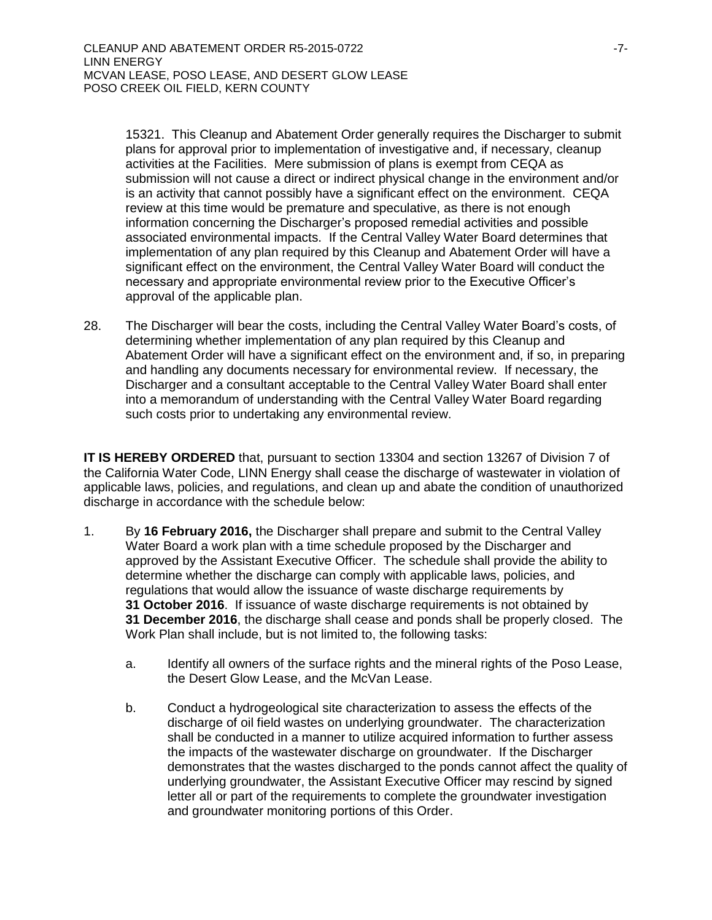15321. This Cleanup and Abatement Order generally requires the Discharger to submit plans for approval prior to implementation of investigative and, if necessary, cleanup activities at the Facilities. Mere submission of plans is exempt from CEQA as submission will not cause a direct or indirect physical change in the environment and/or is an activity that cannot possibly have a significant effect on the environment. CEQA review at this time would be premature and speculative, as there is not enough information concerning the Discharger's proposed remedial activities and possible associated environmental impacts. If the Central Valley Water Board determines that implementation of any plan required by this Cleanup and Abatement Order will have a significant effect on the environment, the Central Valley Water Board will conduct the necessary and appropriate environmental review prior to the Executive Officer's approval of the applicable plan.

28. The Discharger will bear the costs, including the Central Valley Water Board's costs, of determining whether implementation of any plan required by this Cleanup and Abatement Order will have a significant effect on the environment and, if so, in preparing and handling any documents necessary for environmental review. If necessary, the Discharger and a consultant acceptable to the Central Valley Water Board shall enter into a memorandum of understanding with the Central Valley Water Board regarding such costs prior to undertaking any environmental review.

**IT IS HEREBY ORDERED** that, pursuant to section 13304 and section 13267 of Division 7 of the California Water Code, LINN Energy shall cease the discharge of wastewater in violation of applicable laws, policies, and regulations, and clean up and abate the condition of unauthorized discharge in accordance with the schedule below:

- 1. By **16 February 2016,** the Discharger shall prepare and submit to the Central Valley Water Board a work plan with a time schedule proposed by the Discharger and approved by the Assistant Executive Officer. The schedule shall provide the ability to determine whether the discharge can comply with applicable laws, policies, and regulations that would allow the issuance of waste discharge requirements by **31 October 2016**. If issuance of waste discharge requirements is not obtained by **31 December 2016**, the discharge shall cease and ponds shall be properly closed. The Work Plan shall include, but is not limited to, the following tasks:
	- a. Identify all owners of the surface rights and the mineral rights of the Poso Lease, the Desert Glow Lease, and the McVan Lease.
	- b. Conduct a hydrogeological site characterization to assess the effects of the discharge of oil field wastes on underlying groundwater. The characterization shall be conducted in a manner to utilize acquired information to further assess the impacts of the wastewater discharge on groundwater. If the Discharger demonstrates that the wastes discharged to the ponds cannot affect the quality of underlying groundwater, the Assistant Executive Officer may rescind by signed letter all or part of the requirements to complete the groundwater investigation and groundwater monitoring portions of this Order.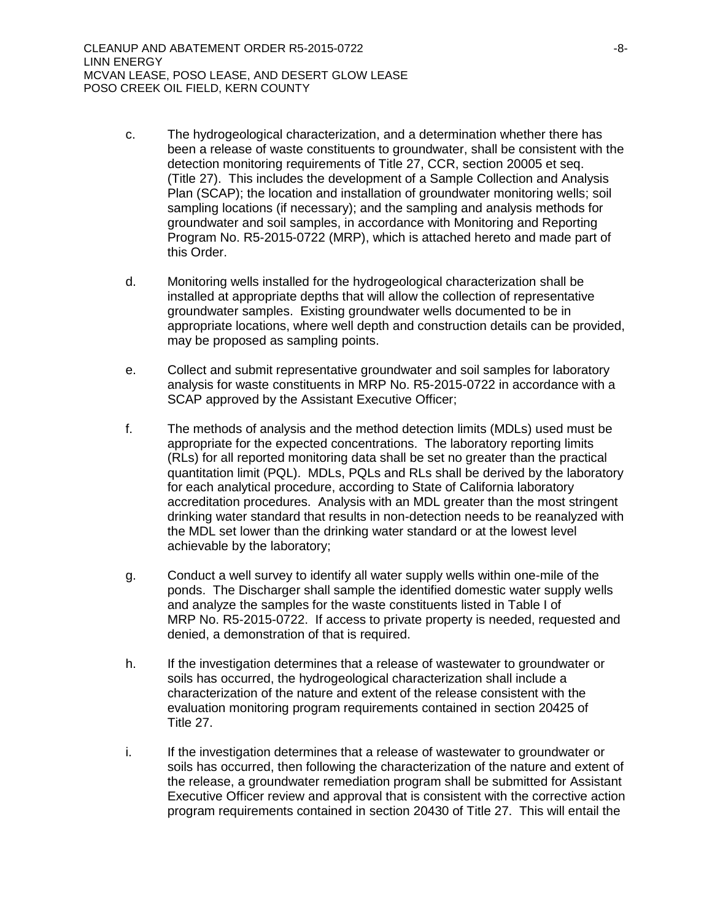- c. The hydrogeological characterization, and a determination whether there has been a release of waste constituents to groundwater, shall be consistent with the detection monitoring requirements of Title 27, CCR, section 20005 et seq. (Title 27). This includes the development of a Sample Collection and Analysis Plan (SCAP); the location and installation of groundwater monitoring wells; soil sampling locations (if necessary); and the sampling and analysis methods for groundwater and soil samples, in accordance with Monitoring and Reporting Program No. R5-2015-0722 (MRP), which is attached hereto and made part of this Order.
- d. Monitoring wells installed for the hydrogeological characterization shall be installed at appropriate depths that will allow the collection of representative groundwater samples. Existing groundwater wells documented to be in appropriate locations, where well depth and construction details can be provided, may be proposed as sampling points.
- e. Collect and submit representative groundwater and soil samples for laboratory analysis for waste constituents in MRP No. R5-2015-0722 in accordance with a SCAP approved by the Assistant Executive Officer;
- f. The methods of analysis and the method detection limits (MDLs) used must be appropriate for the expected concentrations. The laboratory reporting limits (RLs) for all reported monitoring data shall be set no greater than the practical quantitation limit (PQL). MDLs, PQLs and RLs shall be derived by the laboratory for each analytical procedure, according to State of California laboratory accreditation procedures. Analysis with an MDL greater than the most stringent drinking water standard that results in non-detection needs to be reanalyzed with the MDL set lower than the drinking water standard or at the lowest level achievable by the laboratory;
- g. Conduct a well survey to identify all water supply wells within one-mile of the ponds. The Discharger shall sample the identified domestic water supply wells and analyze the samples for the waste constituents listed in Table I of MRP No. R5-2015-0722. If access to private property is needed, requested and denied, a demonstration of that is required.
- h. If the investigation determines that a release of wastewater to groundwater or soils has occurred, the hydrogeological characterization shall include a characterization of the nature and extent of the release consistent with the evaluation monitoring program requirements contained in section 20425 of Title 27.
- i. If the investigation determines that a release of wastewater to groundwater or soils has occurred, then following the characterization of the nature and extent of the release, a groundwater remediation program shall be submitted for Assistant Executive Officer review and approval that is consistent with the corrective action program requirements contained in section 20430 of Title 27. This will entail the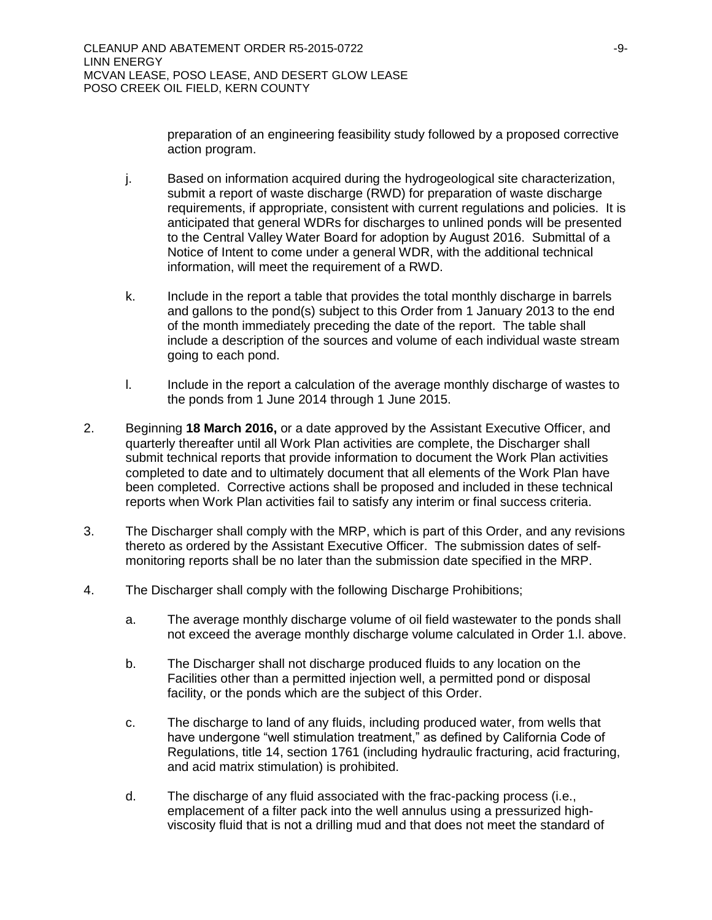preparation of an engineering feasibility study followed by a proposed corrective action program.

- j. Based on information acquired during the hydrogeological site characterization, submit a report of waste discharge (RWD) for preparation of waste discharge requirements, if appropriate, consistent with current regulations and policies. It is anticipated that general WDRs for discharges to unlined ponds will be presented to the Central Valley Water Board for adoption by August 2016. Submittal of a Notice of Intent to come under a general WDR, with the additional technical information, will meet the requirement of a RWD.
- k. Include in the report a table that provides the total monthly discharge in barrels and gallons to the pond(s) subject to this Order from 1 January 2013 to the end of the month immediately preceding the date of the report. The table shall include a description of the sources and volume of each individual waste stream going to each pond.
- l. Include in the report a calculation of the average monthly discharge of wastes to the ponds from 1 June 2014 through 1 June 2015.
- 2. Beginning **18 March 2016,** or a date approved by the Assistant Executive Officer, and quarterly thereafter until all Work Plan activities are complete, the Discharger shall submit technical reports that provide information to document the Work Plan activities completed to date and to ultimately document that all elements of the Work Plan have been completed. Corrective actions shall be proposed and included in these technical reports when Work Plan activities fail to satisfy any interim or final success criteria.
- 3. The Discharger shall comply with the MRP, which is part of this Order, and any revisions thereto as ordered by the Assistant Executive Officer. The submission dates of selfmonitoring reports shall be no later than the submission date specified in the MRP.
- 4. The Discharger shall comply with the following Discharge Prohibitions;
	- a. The average monthly discharge volume of oil field wastewater to the ponds shall not exceed the average monthly discharge volume calculated in Order 1.l. above.
	- b. The Discharger shall not discharge produced fluids to any location on the Facilities other than a permitted injection well, a permitted pond or disposal facility, or the ponds which are the subject of this Order.
	- c. The discharge to land of any fluids, including produced water, from wells that have undergone "well stimulation treatment," as defined by California Code of Regulations, title 14, section 1761 (including hydraulic fracturing, acid fracturing, and acid matrix stimulation) is prohibited.
	- d. The discharge of any fluid associated with the frac-packing process (i.e., emplacement of a filter pack into the well annulus using a pressurized highviscosity fluid that is not a drilling mud and that does not meet the standard of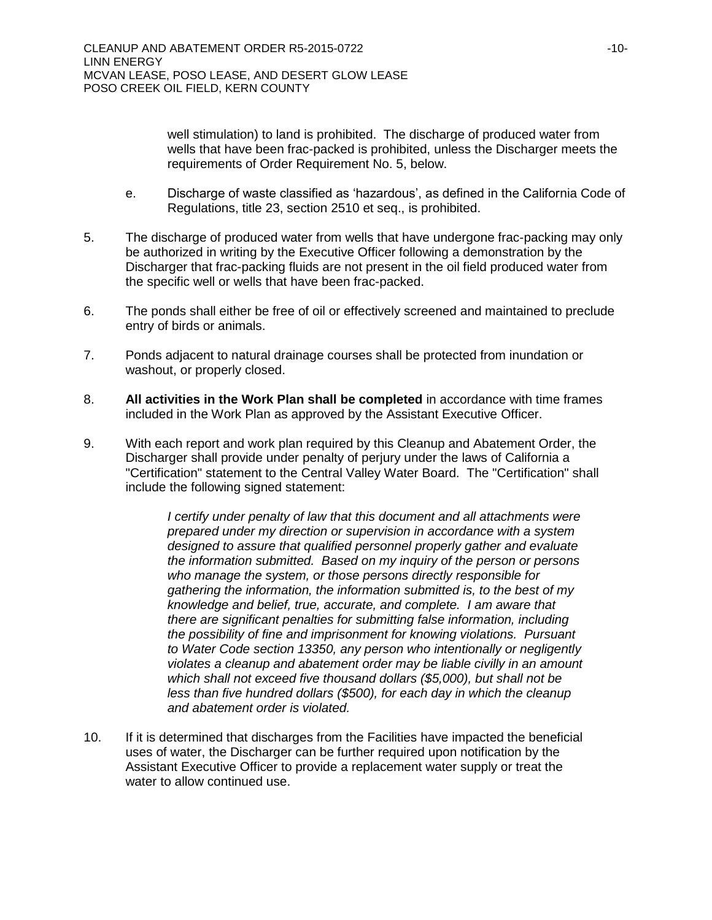well stimulation) to land is prohibited. The discharge of produced water from wells that have been frac-packed is prohibited, unless the Discharger meets the requirements of Order Requirement No. 5, below.

- e. Discharge of waste classified as 'hazardous', as defined in the California Code of Regulations, title 23, section 2510 et seq., is prohibited.
- 5. The discharge of produced water from wells that have undergone frac-packing may only be authorized in writing by the Executive Officer following a demonstration by the Discharger that frac-packing fluids are not present in the oil field produced water from the specific well or wells that have been frac-packed.
- 6. The ponds shall either be free of oil or effectively screened and maintained to preclude entry of birds or animals.
- 7. Ponds adjacent to natural drainage courses shall be protected from inundation or washout, or properly closed.
- 8. **All activities in the Work Plan shall be completed** in accordance with time frames included in the Work Plan as approved by the Assistant Executive Officer.
- 9. With each report and work plan required by this Cleanup and Abatement Order, the Discharger shall provide under penalty of perjury under the laws of California a "Certification" statement to the Central Valley Water Board. The "Certification" shall include the following signed statement:

*I* certify under penalty of law that this document and all attachments were *prepared under my direction or supervision in accordance with a system designed to assure that qualified personnel properly gather and evaluate the information submitted. Based on my inquiry of the person or persons who manage the system, or those persons directly responsible for gathering the information, the information submitted is, to the best of my knowledge and belief, true, accurate, and complete. I am aware that there are significant penalties for submitting false information, including the possibility of fine and imprisonment for knowing violations. Pursuant to Water Code section 13350, any person who intentionally or negligently violates a cleanup and abatement order may be liable civilly in an amount which shall not exceed five thousand dollars (\$5,000), but shall not be less than five hundred dollars (\$500), for each day in which the cleanup and abatement order is violated.*

10. If it is determined that discharges from the Facilities have impacted the beneficial uses of water, the Discharger can be further required upon notification by the Assistant Executive Officer to provide a replacement water supply or treat the water to allow continued use.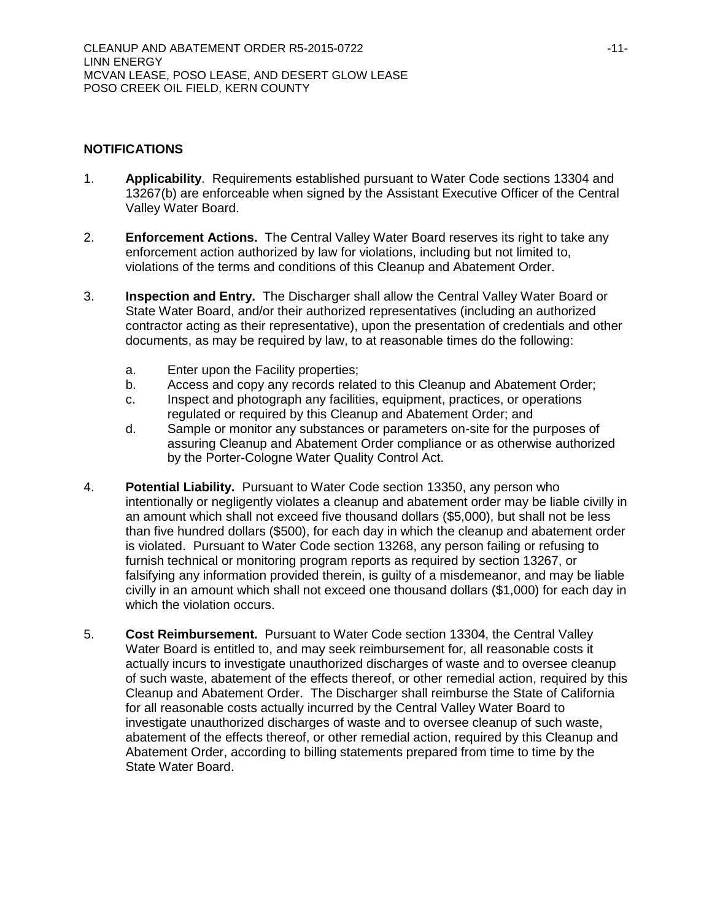## **NOTIFICATIONS**

- 1. **Applicability**. Requirements established pursuant to Water Code sections 13304 and 13267(b) are enforceable when signed by the Assistant Executive Officer of the Central Valley Water Board.
- 2. **Enforcement Actions.** The Central Valley Water Board reserves its right to take any enforcement action authorized by law for violations, including but not limited to, violations of the terms and conditions of this Cleanup and Abatement Order.
- 3. **Inspection and Entry.** The Discharger shall allow the Central Valley Water Board or State Water Board, and/or their authorized representatives (including an authorized contractor acting as their representative), upon the presentation of credentials and other documents, as may be required by law, to at reasonable times do the following:
	- a. Enter upon the Facility properties;
	- b. Access and copy any records related to this Cleanup and Abatement Order;
	- c. Inspect and photograph any facilities, equipment, practices, or operations regulated or required by this Cleanup and Abatement Order; and
	- d. Sample or monitor any substances or parameters on-site for the purposes of assuring Cleanup and Abatement Order compliance or as otherwise authorized by the Porter-Cologne Water Quality Control Act.
- 4. **Potential Liability.** Pursuant to Water Code section 13350, any person who intentionally or negligently violates a cleanup and abatement order may be liable civilly in an amount which shall not exceed five thousand dollars (\$5,000), but shall not be less than five hundred dollars (\$500), for each day in which the cleanup and abatement order is violated. Pursuant to Water Code section 13268, any person failing or refusing to furnish technical or monitoring program reports as required by section 13267, or falsifying any information provided therein, is guilty of a misdemeanor, and may be liable civilly in an amount which shall not exceed one thousand dollars (\$1,000) for each day in which the violation occurs.
- 5. **Cost Reimbursement.** Pursuant to Water Code section 13304, the Central Valley Water Board is entitled to, and may seek reimbursement for, all reasonable costs it actually incurs to investigate unauthorized discharges of waste and to oversee cleanup of such waste, abatement of the effects thereof, or other remedial action, required by this Cleanup and Abatement Order. The Discharger shall reimburse the State of California for all reasonable costs actually incurred by the Central Valley Water Board to investigate unauthorized discharges of waste and to oversee cleanup of such waste, abatement of the effects thereof, or other remedial action, required by this Cleanup and Abatement Order, according to billing statements prepared from time to time by the State Water Board.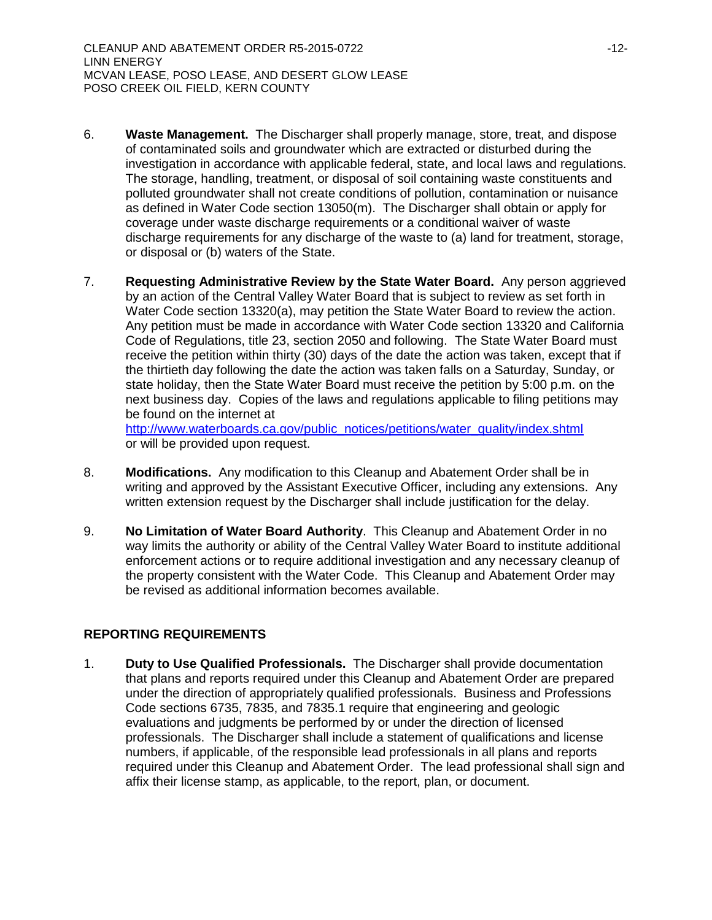- 6. **Waste Management.** The Discharger shall properly manage, store, treat, and dispose of contaminated soils and groundwater which are extracted or disturbed during the investigation in accordance with applicable federal, state, and local laws and regulations. The storage, handling, treatment, or disposal of soil containing waste constituents and polluted groundwater shall not create conditions of pollution, contamination or nuisance as defined in Water Code section 13050(m). The Discharger shall obtain or apply for coverage under waste discharge requirements or a conditional waiver of waste discharge requirements for any discharge of the waste to (a) land for treatment, storage, or disposal or (b) waters of the State.
- 7. **Requesting Administrative Review by the State Water Board.** Any person aggrieved by an action of the Central Valley Water Board that is subject to review as set forth in Water Code section 13320(a), may petition the State Water Board to review the action. Any petition must be made in accordance with Water Code section 13320 and California Code of Regulations, title 23, section 2050 and following. The State Water Board must receive the petition within thirty (30) days of the date the action was taken, except that if the thirtieth day following the date the action was taken falls on a Saturday, Sunday, or state holiday, then the State Water Board must receive the petition by 5:00 p.m. on the next business day. Copies of the laws and regulations applicable to filing petitions may be found on the internet at [http://www.waterboards.ca.gov/public\\_notices/petitions/water\\_quality/index.shtml](http://www.waterboards.ca.gov/public_notices/petitions/water_quality/index.shtml)

or will be provided upon request.

- 8. **Modifications.** Any modification to this Cleanup and Abatement Order shall be in writing and approved by the Assistant Executive Officer, including any extensions. Any written extension request by the Discharger shall include justification for the delay.
- 9. **No Limitation of Water Board Authority**. This Cleanup and Abatement Order in no way limits the authority or ability of the Central Valley Water Board to institute additional enforcement actions or to require additional investigation and any necessary cleanup of the property consistent with the Water Code. This Cleanup and Abatement Order may be revised as additional information becomes available.

# **REPORTING REQUIREMENTS**

1. **Duty to Use Qualified Professionals.** The Discharger shall provide documentation that plans and reports required under this Cleanup and Abatement Order are prepared under the direction of appropriately qualified professionals. Business and Professions Code sections 6735, 7835, and 7835.1 require that engineering and geologic evaluations and judgments be performed by or under the direction of licensed professionals. The Discharger shall include a statement of qualifications and license numbers, if applicable, of the responsible lead professionals in all plans and reports required under this Cleanup and Abatement Order. The lead professional shall sign and affix their license stamp, as applicable, to the report, plan, or document.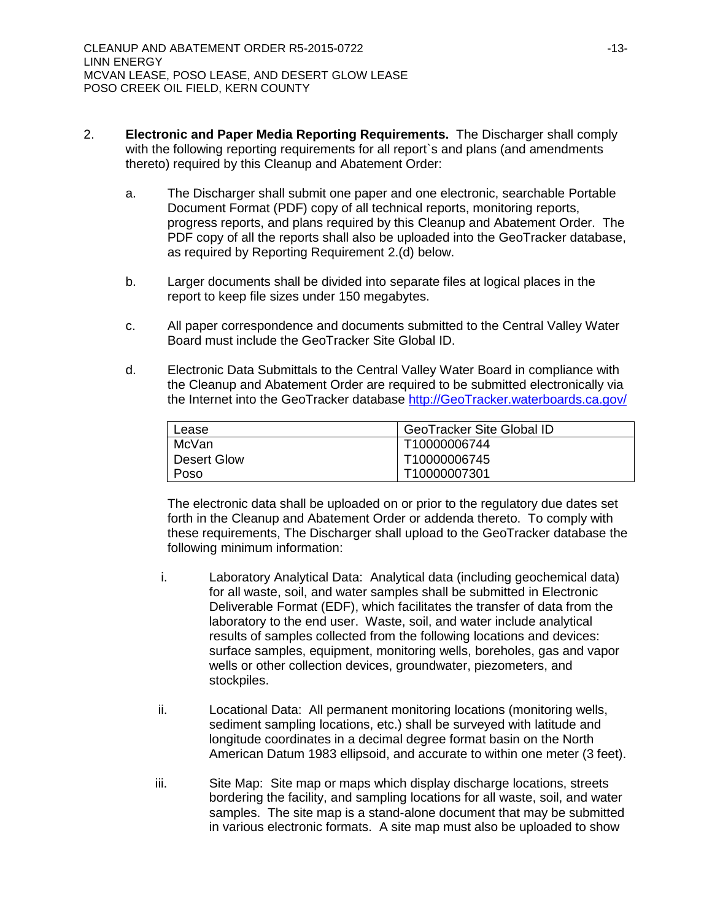- 2. **Electronic and Paper Media Reporting Requirements.** The Discharger shall comply with the following reporting requirements for all report`s and plans (and amendments thereto) required by this Cleanup and Abatement Order:
	- a. The Discharger shall submit one paper and one electronic, searchable Portable Document Format (PDF) copy of all technical reports, monitoring reports, progress reports, and plans required by this Cleanup and Abatement Order. The PDF copy of all the reports shall also be uploaded into the GeoTracker database, as required by Reporting Requirement 2.(d) below.
	- b. Larger documents shall be divided into separate files at logical places in the report to keep file sizes under 150 megabytes.
	- c. All paper correspondence and documents submitted to the Central Valley Water Board must include the GeoTracker Site Global ID.
	- d. Electronic Data Submittals to the Central Valley Water Board in compliance with the Cleanup and Abatement Order are required to be submitted electronically via the Internet into the GeoTracker database [http://GeoTracker.waterboards.ca.gov/](http://geotracker.waterboards.ca.gov/)

| Lease       | <b>GeoTracker Site Global ID</b> |
|-------------|----------------------------------|
| McVan       | T10000006744                     |
| Desert Glow | T10000006745                     |
| Poso        | T10000007301                     |

The electronic data shall be uploaded on or prior to the regulatory due dates set forth in the Cleanup and Abatement Order or addenda thereto. To comply with these requirements, The Discharger shall upload to the GeoTracker database the following minimum information:

- i. Laboratory Analytical Data: Analytical data (including geochemical data) for all waste, soil, and water samples shall be submitted in Electronic Deliverable Format (EDF), which facilitates the transfer of data from the laboratory to the end user. Waste, soil, and water include analytical results of samples collected from the following locations and devices: surface samples, equipment, monitoring wells, boreholes, gas and vapor wells or other collection devices, groundwater, piezometers, and stockpiles.
- ii. Locational Data: All permanent monitoring locations (monitoring wells, sediment sampling locations, etc.) shall be surveyed with latitude and longitude coordinates in a decimal degree format basin on the North American Datum 1983 ellipsoid, and accurate to within one meter (3 feet).
- iii. Site Map: Site map or maps which display discharge locations, streets bordering the facility, and sampling locations for all waste, soil, and water samples. The site map is a stand-alone document that may be submitted in various electronic formats. A site map must also be uploaded to show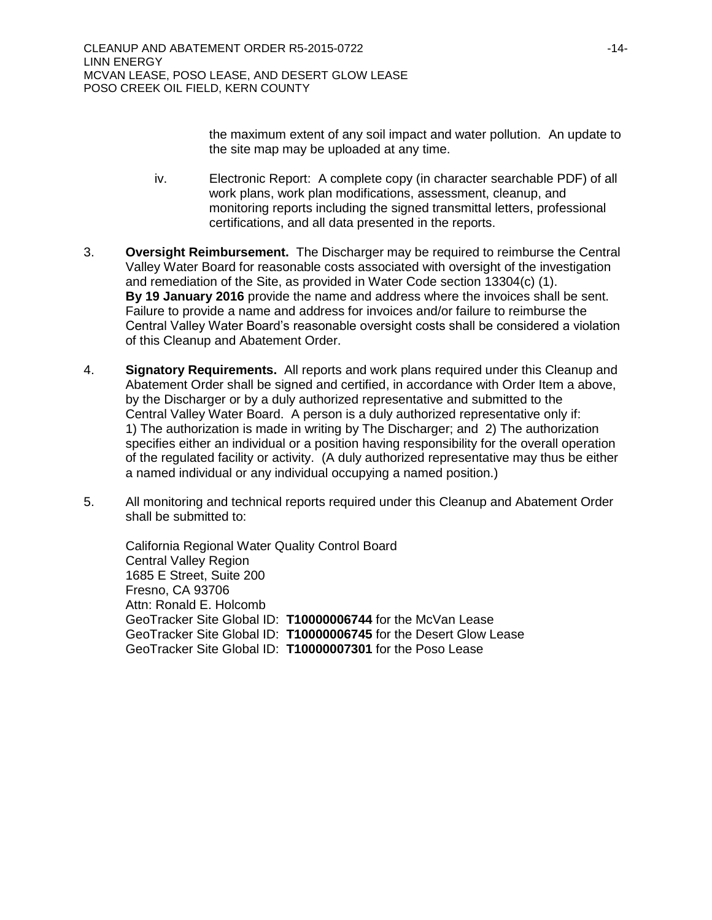the maximum extent of any soil impact and water pollution. An update to the site map may be uploaded at any time.

- iv. Electronic Report: A complete copy (in character searchable PDF) of all work plans, work plan modifications, assessment, cleanup, and monitoring reports including the signed transmittal letters, professional certifications, and all data presented in the reports.
- 3. **Oversight Reimbursement.** The Discharger may be required to reimburse the Central Valley Water Board for reasonable costs associated with oversight of the investigation and remediation of the Site, as provided in Water Code section 13304(c) (1). **By 19 January 2016** provide the name and address where the invoices shall be sent. Failure to provide a name and address for invoices and/or failure to reimburse the Central Valley Water Board's reasonable oversight costs shall be considered a violation of this Cleanup and Abatement Order.
- 4. **Signatory Requirements.** All reports and work plans required under this Cleanup and Abatement Order shall be signed and certified, in accordance with Order Item a above, by the Discharger or by a duly authorized representative and submitted to the Central Valley Water Board. A person is a duly authorized representative only if: 1) The authorization is made in writing by The Discharger; and 2) The authorization specifies either an individual or a position having responsibility for the overall operation of the regulated facility or activity. (A duly authorized representative may thus be either a named individual or any individual occupying a named position.)
- 5. All monitoring and technical reports required under this Cleanup and Abatement Order shall be submitted to:

California Regional Water Quality Control Board Central Valley Region 1685 E Street, Suite 200 Fresno, CA 93706 Attn: Ronald E. Holcomb GeoTracker Site Global ID: **T10000006744** for the McVan Lease GeoTracker Site Global ID: **T10000006745** for the Desert Glow Lease GeoTracker Site Global ID: **T10000007301** for the Poso Lease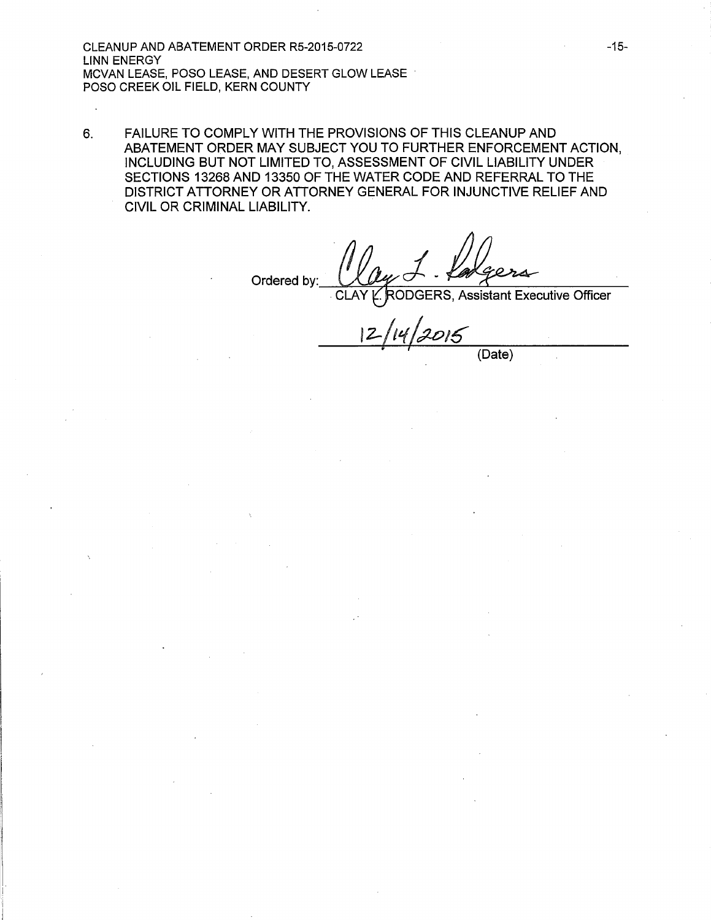CLEANUP AND ABATEMENT ORDER R5-2015-0722 LINN ENERGY MCVAN LEASE, POSO LEASE, AND DESERT GLOW LEASE POSO CREEK OIL FIELD, KERN COUNTY

6. FAILURE TO COMPLY WITH THE PROVISIONS OF THIS CLEANUP AND ABATEMENT ORDER MAY SUBJECT YOU TO FURTHER ENFORCEMENT ACTION, INCLUDING BUT NOT LIMITED TO, ASSESSMENT OF CIVIL LIABILITY UNDER SECTIONS 13268 AND 13350 OF THE WATER CODE AND REFERRAL TO THE DISTRICT ATTORNEY OR ATTORNEY GENERAL FOR INJUNCTIVE RELIEF AND CIVIL OR CRIMINAL LIABILITY.

Ordered by:

DGERS, Assistant Executive Officer

 $12/14/2015$ 

(Date)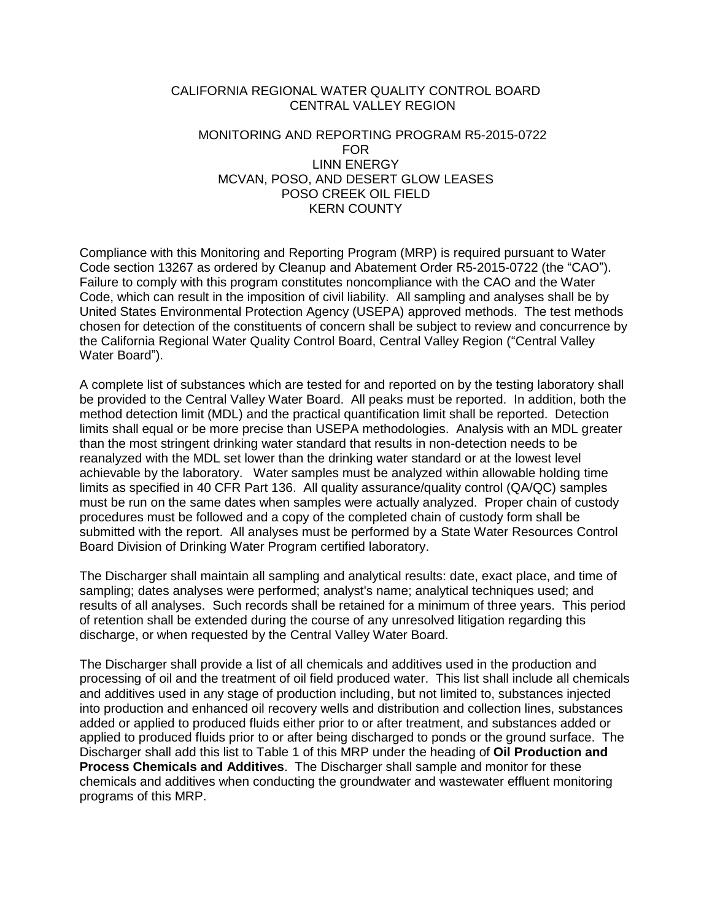## CALIFORNIA REGIONAL WATER QUALITY CONTROL BOARD CENTRAL VALLEY REGION

## MONITORING AND REPORTING PROGRAM R5-2015-0722 FOR LINN ENERGY MCVAN, POSO, AND DESERT GLOW LEASES POSO CREEK OIL FIELD KERN COUNTY

Compliance with this Monitoring and Reporting Program (MRP) is required pursuant to Water Code section 13267 as ordered by Cleanup and Abatement Order R5-2015-0722 (the "CAO"). Failure to comply with this program constitutes noncompliance with the CAO and the Water Code, which can result in the imposition of civil liability. All sampling and analyses shall be by United States Environmental Protection Agency (USEPA) approved methods. The test methods chosen for detection of the constituents of concern shall be subject to review and concurrence by the California Regional Water Quality Control Board, Central Valley Region ("Central Valley Water Board").

A complete list of substances which are tested for and reported on by the testing laboratory shall be provided to the Central Valley Water Board. All peaks must be reported. In addition, both the method detection limit (MDL) and the practical quantification limit shall be reported. Detection limits shall equal or be more precise than USEPA methodologies. Analysis with an MDL greater than the most stringent drinking water standard that results in non-detection needs to be reanalyzed with the MDL set lower than the drinking water standard or at the lowest level achievable by the laboratory. Water samples must be analyzed within allowable holding time limits as specified in 40 CFR Part 136. All quality assurance/quality control (QA/QC) samples must be run on the same dates when samples were actually analyzed. Proper chain of custody procedures must be followed and a copy of the completed chain of custody form shall be submitted with the report. All analyses must be performed by a State Water Resources Control Board Division of Drinking Water Program certified laboratory.

The Discharger shall maintain all sampling and analytical results: date, exact place, and time of sampling; dates analyses were performed; analyst's name; analytical techniques used; and results of all analyses. Such records shall be retained for a minimum of three years. This period of retention shall be extended during the course of any unresolved litigation regarding this discharge, or when requested by the Central Valley Water Board.

The Discharger shall provide a list of all chemicals and additives used in the production and processing of oil and the treatment of oil field produced water. This list shall include all chemicals and additives used in any stage of production including, but not limited to, substances injected into production and enhanced oil recovery wells and distribution and collection lines, substances added or applied to produced fluids either prior to or after treatment, and substances added or applied to produced fluids prior to or after being discharged to ponds or the ground surface. The Discharger shall add this list to Table 1 of this MRP under the heading of **Oil Production and Process Chemicals and Additives**. The Discharger shall sample and monitor for these chemicals and additives when conducting the groundwater and wastewater effluent monitoring programs of this MRP.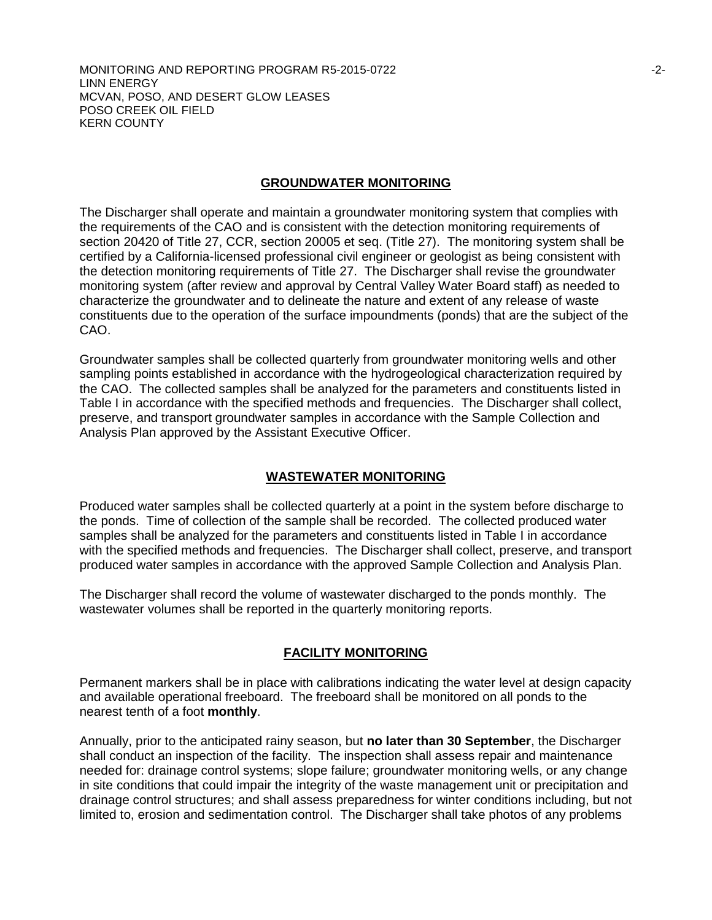MONITORING AND REPORTING PROGRAM R5-2015-0722 **First and CONVENTS ASSAULT** 2-2-LINN ENERGY MCVAN, POSO, AND DESERT GLOW LEASES POSO CREEK OIL FIELD KERN COUNTY

#### **GROUNDWATER MONITORING**

The Discharger shall operate and maintain a groundwater monitoring system that complies with the requirements of the CAO and is consistent with the detection monitoring requirements of section 20420 of Title 27, CCR, section 20005 et seq. (Title 27). The monitoring system shall be certified by a California-licensed professional civil engineer or geologist as being consistent with the detection monitoring requirements of Title 27. The Discharger shall revise the groundwater monitoring system (after review and approval by Central Valley Water Board staff) as needed to characterize the groundwater and to delineate the nature and extent of any release of waste constituents due to the operation of the surface impoundments (ponds) that are the subject of the CAO.

Groundwater samples shall be collected quarterly from groundwater monitoring wells and other sampling points established in accordance with the hydrogeological characterization required by the CAO. The collected samples shall be analyzed for the parameters and constituents listed in Table I in accordance with the specified methods and frequencies. The Discharger shall collect, preserve, and transport groundwater samples in accordance with the Sample Collection and Analysis Plan approved by the Assistant Executive Officer.

### **WASTEWATER MONITORING**

Produced water samples shall be collected quarterly at a point in the system before discharge to the ponds. Time of collection of the sample shall be recorded. The collected produced water samples shall be analyzed for the parameters and constituents listed in Table I in accordance with the specified methods and frequencies. The Discharger shall collect, preserve, and transport produced water samples in accordance with the approved Sample Collection and Analysis Plan.

The Discharger shall record the volume of wastewater discharged to the ponds monthly. The wastewater volumes shall be reported in the quarterly monitoring reports.

#### **FACILITY MONITORING**

Permanent markers shall be in place with calibrations indicating the water level at design capacity and available operational freeboard. The freeboard shall be monitored on all ponds to the nearest tenth of a foot **monthly**.

Annually, prior to the anticipated rainy season, but **no later than 30 September**, the Discharger shall conduct an inspection of the facility. The inspection shall assess repair and maintenance needed for: drainage control systems; slope failure; groundwater monitoring wells, or any change in site conditions that could impair the integrity of the waste management unit or precipitation and drainage control structures; and shall assess preparedness for winter conditions including, but not limited to, erosion and sedimentation control. The Discharger shall take photos of any problems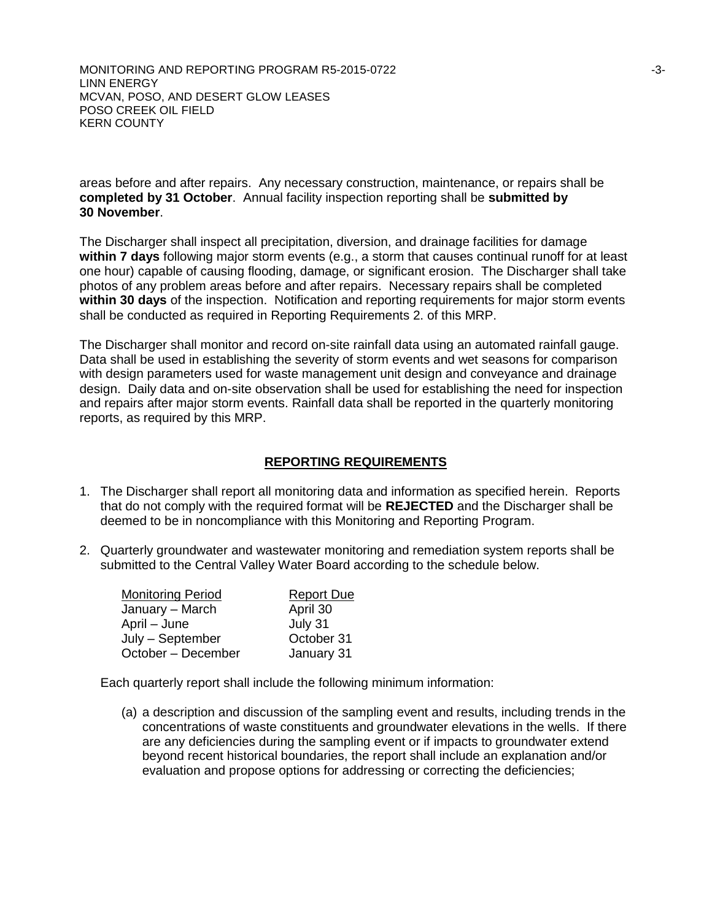MONITORING AND REPORTING PROGRAM R5-2015-0722 **ACCESS 100 ACCESS 100 ACCESS 100 ACCESS** LINN ENERGY MCVAN, POSO, AND DESERT GLOW LEASES POSO CREEK OIL FIELD KERN COUNTY

areas before and after repairs. Any necessary construction, maintenance, or repairs shall be **completed by 31 October**. Annual facility inspection reporting shall be **submitted by 30 November**.

The Discharger shall inspect all precipitation, diversion, and drainage facilities for damage **within 7 days** following major storm events (e.g., a storm that causes continual runoff for at least one hour) capable of causing flooding, damage, or significant erosion. The Discharger shall take photos of any problem areas before and after repairs. Necessary repairs shall be completed **within 30 days** of the inspection. Notification and reporting requirements for major storm events shall be conducted as required in Reporting Requirements 2. of this MRP.

The Discharger shall monitor and record on-site rainfall data using an automated rainfall gauge. Data shall be used in establishing the severity of storm events and wet seasons for comparison with design parameters used for waste management unit design and conveyance and drainage design. Daily data and on-site observation shall be used for establishing the need for inspection and repairs after major storm events. Rainfall data shall be reported in the quarterly monitoring reports, as required by this MRP.

## **REPORTING REQUIREMENTS**

- 1. The Discharger shall report all monitoring data and information as specified herein. Reports that do not comply with the required format will be **REJECTED** and the Discharger shall be deemed to be in noncompliance with this Monitoring and Reporting Program.
- 2. Quarterly groundwater and wastewater monitoring and remediation system reports shall be submitted to the Central Valley Water Board according to the schedule below.

| <b>Monitoring Period</b> | <b>Report Due</b> |
|--------------------------|-------------------|
| January - March          | April 30          |
| April – June             | July 31           |
| July - September         | October 31        |
| October - December       | January 31        |

Each quarterly report shall include the following minimum information:

(a) a description and discussion of the sampling event and results, including trends in the concentrations of waste constituents and groundwater elevations in the wells. If there are any deficiencies during the sampling event or if impacts to groundwater extend beyond recent historical boundaries, the report shall include an explanation and/or evaluation and propose options for addressing or correcting the deficiencies;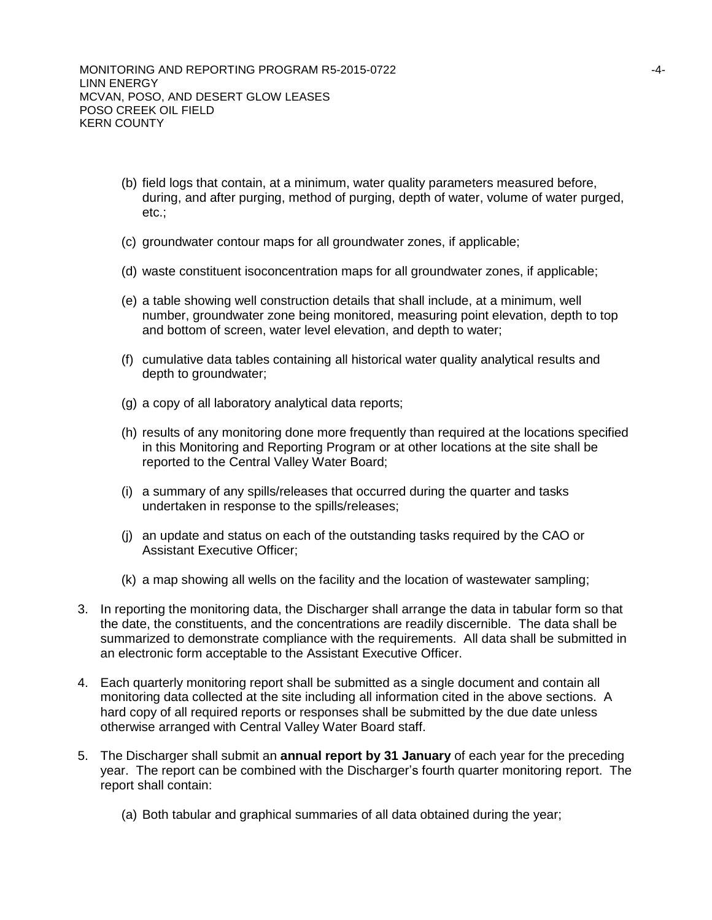- (b) field logs that contain, at a minimum, water quality parameters measured before, during, and after purging, method of purging, depth of water, volume of water purged, etc.;
- (c) groundwater contour maps for all groundwater zones, if applicable;
- (d) waste constituent isoconcentration maps for all groundwater zones, if applicable;
- (e) a table showing well construction details that shall include, at a minimum, well number, groundwater zone being monitored, measuring point elevation, depth to top and bottom of screen, water level elevation, and depth to water;
- (f) cumulative data tables containing all historical water quality analytical results and depth to groundwater;
- (g) a copy of all laboratory analytical data reports;
- (h) results of any monitoring done more frequently than required at the locations specified in this Monitoring and Reporting Program or at other locations at the site shall be reported to the Central Valley Water Board;
- (i) a summary of any spills/releases that occurred during the quarter and tasks undertaken in response to the spills/releases;
- (j) an update and status on each of the outstanding tasks required by the CAO or Assistant Executive Officer;
- (k) a map showing all wells on the facility and the location of wastewater sampling;
- 3. In reporting the monitoring data, the Discharger shall arrange the data in tabular form so that the date, the constituents, and the concentrations are readily discernible. The data shall be summarized to demonstrate compliance with the requirements. All data shall be submitted in an electronic form acceptable to the Assistant Executive Officer.
- 4. Each quarterly monitoring report shall be submitted as a single document and contain all monitoring data collected at the site including all information cited in the above sections. A hard copy of all required reports or responses shall be submitted by the due date unless otherwise arranged with Central Valley Water Board staff.
- 5. The Discharger shall submit an **annual report by 31 January** of each year for the preceding year. The report can be combined with the Discharger's fourth quarter monitoring report. The report shall contain:
	- (a) Both tabular and graphical summaries of all data obtained during the year;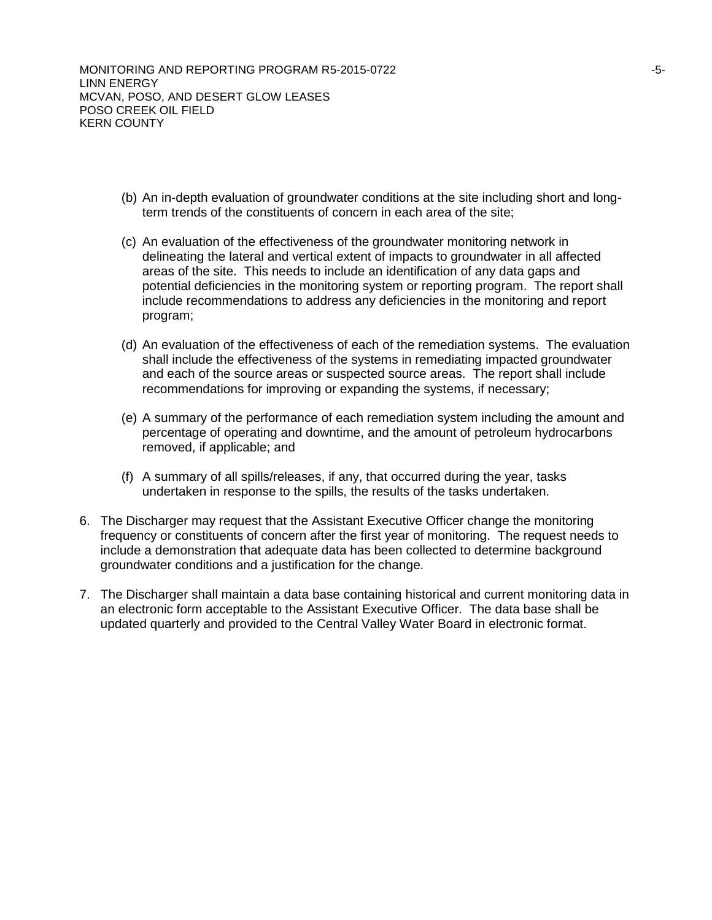MONITORING AND REPORTING PROGRAM R5-2015-0722 **FOULD** 10 AM CONTROLLERGY ASSESSED. LINN ENERGY MCVAN, POSO, AND DESERT GLOW LEASES POSO CREEK OIL FIELD KERN COUNTY

- (b) An in-depth evaluation of groundwater conditions at the site including short and longterm trends of the constituents of concern in each area of the site;
- (c) An evaluation of the effectiveness of the groundwater monitoring network in delineating the lateral and vertical extent of impacts to groundwater in all affected areas of the site. This needs to include an identification of any data gaps and potential deficiencies in the monitoring system or reporting program. The report shall include recommendations to address any deficiencies in the monitoring and report program;
- (d) An evaluation of the effectiveness of each of the remediation systems. The evaluation shall include the effectiveness of the systems in remediating impacted groundwater and each of the source areas or suspected source areas. The report shall include recommendations for improving or expanding the systems, if necessary;
- (e) A summary of the performance of each remediation system including the amount and percentage of operating and downtime, and the amount of petroleum hydrocarbons removed, if applicable; and
- (f) A summary of all spills/releases, if any, that occurred during the year, tasks undertaken in response to the spills, the results of the tasks undertaken.
- 6. The Discharger may request that the Assistant Executive Officer change the monitoring frequency or constituents of concern after the first year of monitoring. The request needs to include a demonstration that adequate data has been collected to determine background groundwater conditions and a justification for the change.
- 7. The Discharger shall maintain a data base containing historical and current monitoring data in an electronic form acceptable to the Assistant Executive Officer. The data base shall be updated quarterly and provided to the Central Valley Water Board in electronic format.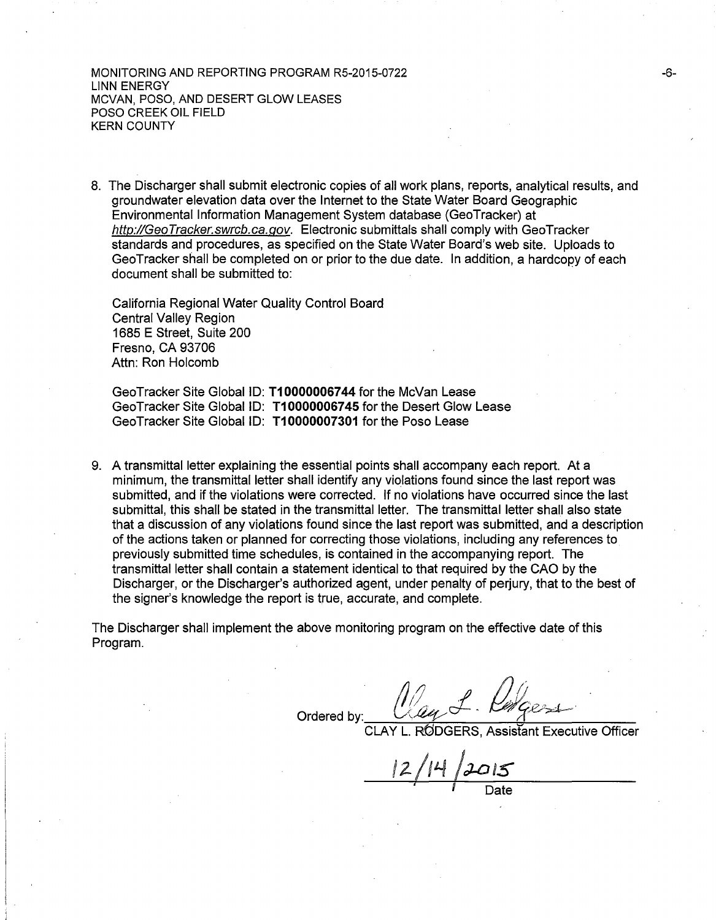MONITORING AND REPORTING PROGRAM RS-2015-0722 LINN ENERGY MCVAN, POSO, AND DESERT GLOW LEASES POSO CREEK OIL FIELD KERN COUNTY

8. The Discharger shall submit electronic copies of all work plans, reports, analytical results, and groundwater elevation data over the Internet to the State Water Board Geographic Environmental Information Management System database (GeoTracker) at [http://GeoTracker.swrcb.ca.go](http://geotracker.swrcb.ca.gov/)v. Electronic submittals shall comply with GeoTracker standards and procedures, as specified on the State Water Board's web site. Uploads to Geo Tracker shall be completed on or prior to the due date. In addition, a hardcopy of each document shall be submitted to:

California Regional Water Quality Control Board Central Valley Region 1685 E Street, Suite 200 Fresno, CA 93706 Attn: Ron Holcomb

Gee Tracker Site GlobaliD: **T10000006744** for the McVan Lease Gee Tracker Site Global ID: **T1 00000067** 45 for the Desert Glow Lease Geo Tracker Site Global ID: **T10000007301** for the Poso Lease

9. A transmittal letter explaining the essential points shall accompany each report. At a minimum, the transmittal letter shall identify any violations found since the last report was submitted, and if the violations were corrected. If no violations have occurred since the last submittal, this shall be stated in the transmittal letter. The transmittal letter shall also state that a discussion of any violations found since the last report was submitted, and a description of the actions taken or planned for correcting those violations, including any references to previously submitted time schedules, is contained in the accompanying report. The transmittal letter shall contain a statement identical to that required by the CAO by the Discharger, or the Discharger's authorized agent, under penalty of perjury, that to the best of the signer's knowledge the report is true, accurate, and complete.

The Discharger shall implement the above monitoring program on the effective date of this Program.

May L. Pracess Ordered by:

RODGERS. Assistant Executive Officer

• *I* Date

-6-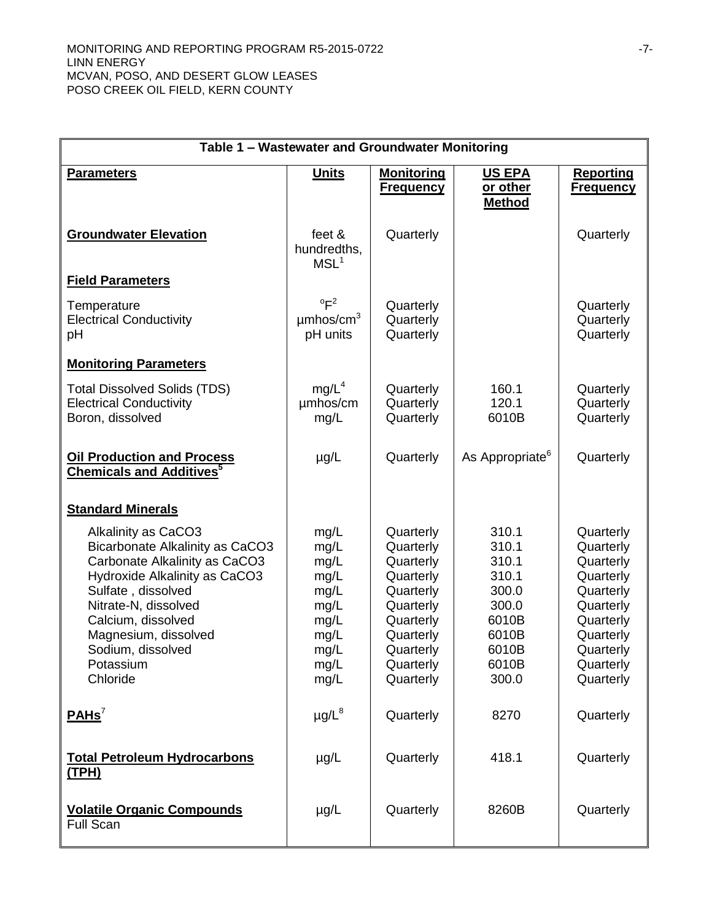| Table 1 - Wastewater and Groundwater Monitoring                                                                                                                                                                                                                    |                                                                                      |                                                                                                                                             |                                                                                                 |                                                                                                                                             |
|--------------------------------------------------------------------------------------------------------------------------------------------------------------------------------------------------------------------------------------------------------------------|--------------------------------------------------------------------------------------|---------------------------------------------------------------------------------------------------------------------------------------------|-------------------------------------------------------------------------------------------------|---------------------------------------------------------------------------------------------------------------------------------------------|
| <b>Parameters</b>                                                                                                                                                                                                                                                  | <b>Units</b>                                                                         | <b>Monitoring</b><br><b>Frequency</b>                                                                                                       | <b>US EPA</b><br>or other<br><b>Method</b>                                                      | <b>Reporting</b><br><u>Frequency</u>                                                                                                        |
| <b>Groundwater Elevation</b>                                                                                                                                                                                                                                       | feet &<br>hundredths,<br>MSL <sup>1</sup>                                            | Quarterly                                                                                                                                   |                                                                                                 | Quarterly                                                                                                                                   |
| <b>Field Parameters</b>                                                                                                                                                                                                                                            |                                                                                      |                                                                                                                                             |                                                                                                 |                                                                                                                                             |
| Temperature<br><b>Electrical Conductivity</b><br>pH                                                                                                                                                                                                                | $^{\circ}F^2$<br>$\mu$ mhos/cm <sup>3</sup><br>pH units                              | Quarterly<br>Quarterly<br>Quarterly                                                                                                         |                                                                                                 | Quarterly<br>Quarterly<br>Quarterly                                                                                                         |
| <b>Monitoring Parameters</b>                                                                                                                                                                                                                                       |                                                                                      |                                                                                                                                             |                                                                                                 |                                                                                                                                             |
| <b>Total Dissolved Solids (TDS)</b><br><b>Electrical Conductivity</b><br>Boron, dissolved                                                                                                                                                                          | mg/L <sup>4</sup><br>umhos/cm<br>mg/L                                                | Quarterly<br>Quarterly<br>Quarterly                                                                                                         | 160.1<br>120.1<br>6010B                                                                         | Quarterly<br>Quarterly<br>Quarterly                                                                                                         |
| <b>Oil Production and Process</b><br><b>Chemicals and Additives</b> <sup>5</sup>                                                                                                                                                                                   | $\mu$ g/L                                                                            | Quarterly                                                                                                                                   | As Appropriate <sup>6</sup>                                                                     | Quarterly                                                                                                                                   |
| <b>Standard Minerals</b>                                                                                                                                                                                                                                           |                                                                                      |                                                                                                                                             |                                                                                                 |                                                                                                                                             |
| Alkalinity as CaCO3<br>Bicarbonate Alkalinity as CaCO3<br>Carbonate Alkalinity as CaCO3<br>Hydroxide Alkalinity as CaCO3<br>Sulfate, dissolved<br>Nitrate-N, dissolved<br>Calcium, dissolved<br>Magnesium, dissolved<br>Sodium, dissolved<br>Potassium<br>Chloride | mg/L<br>mg/L<br>mg/L<br>mg/L<br>mg/L<br>mg/L<br>mg/L<br>mg/L<br>mg/L<br>mg/L<br>mg/L | Quarterly<br>Quarterly<br>Quarterly<br>Quarterly<br>Quarterly<br>Quarterly<br>Quarterly<br>Quarterly<br>Quarterly<br>Quarterly<br>Quarterly | 310.1<br>310.1<br>310.1<br>310.1<br>300.0<br>300.0<br>6010B<br>6010B<br>6010B<br>6010B<br>300.0 | Quarterly<br>Quarterly<br>Quarterly<br>Quarterly<br>Quarterly<br>Quarterly<br>Quarterly<br>Quarterly<br>Quarterly<br>Quarterly<br>Quarterly |
| PAHS <sup>7</sup>                                                                                                                                                                                                                                                  | $\mu$ g/L $^8$                                                                       | Quarterly                                                                                                                                   | 8270                                                                                            | Quarterly                                                                                                                                   |
| <b>Total Petroleum Hydrocarbons</b><br><u>(TPH)</u>                                                                                                                                                                                                                | $\mu$ g/L                                                                            | Quarterly                                                                                                                                   | 418.1                                                                                           | Quarterly                                                                                                                                   |
| <b>Volatile Organic Compounds</b><br><b>Full Scan</b>                                                                                                                                                                                                              | $\mu$ g/L                                                                            | Quarterly                                                                                                                                   | 8260B                                                                                           | Quarterly                                                                                                                                   |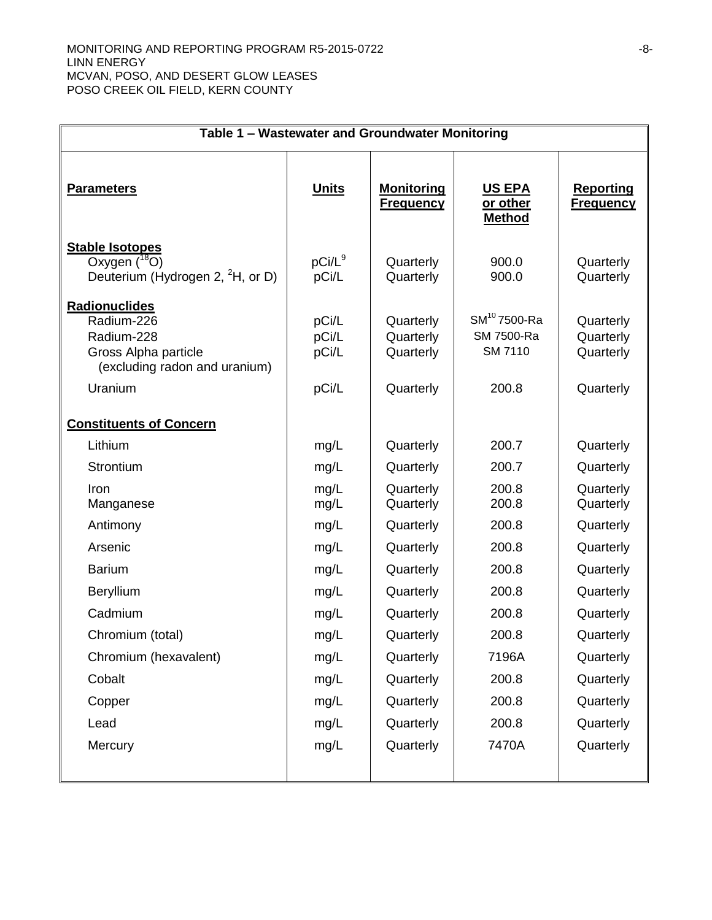| Table 1 - Wastewater and Groundwater Monitoring                                                               |                                  |                                                  |                                                            |                                                  |
|---------------------------------------------------------------------------------------------------------------|----------------------------------|--------------------------------------------------|------------------------------------------------------------|--------------------------------------------------|
| <b>Parameters</b>                                                                                             | <u>Units</u>                     | <u>Monitoring</u><br><b>Frequency</b>            | <b>US EPA</b><br>or other<br><b>Method</b>                 | <b>Reporting</b><br><b>Frequency</b>             |
| <b>Stable Isotopes</b><br>Oxygen $(^{18}O)$<br>Deuterium (Hydrogen 2, <sup>2</sup> H, or D)                   | $pCi/L^9$<br>pCi/L               | Quarterly<br>Quarterly                           | 900.0<br>900.0                                             | Quarterly<br>Quarterly                           |
| Radionuclides<br>Radium-226<br>Radium-228<br>Gross Alpha particle<br>(excluding radon and uranium)<br>Uranium | pCi/L<br>pCi/L<br>pCi/L<br>pCi/L | Quarterly<br>Quarterly<br>Quarterly<br>Quarterly | SM <sup>10</sup> 7500-Ra<br>SM 7500-Ra<br>SM 7110<br>200.8 | Quarterly<br>Quarterly<br>Quarterly<br>Quarterly |
| <b>Constituents of Concern</b>                                                                                |                                  |                                                  |                                                            |                                                  |
| Lithium                                                                                                       | mg/L                             | Quarterly                                        | 200.7                                                      | Quarterly                                        |
| Strontium                                                                                                     | mg/L                             | Quarterly                                        | 200.7                                                      | Quarterly                                        |
| Iron<br>Manganese                                                                                             | mg/L<br>mg/L                     | Quarterly<br>Quarterly                           | 200.8<br>200.8                                             | Quarterly<br>Quarterly                           |
| Antimony                                                                                                      | mg/L                             | Quarterly                                        | 200.8                                                      | Quarterly                                        |
| Arsenic                                                                                                       | mg/L                             | Quarterly                                        | 200.8                                                      | Quarterly                                        |
| <b>Barium</b>                                                                                                 | mg/L                             | Quarterly                                        | 200.8                                                      | Quarterly                                        |
| Beryllium                                                                                                     | mg/L                             | Quarterly                                        | 200.8                                                      | Quarterly                                        |
| Cadmium                                                                                                       | mg/L                             | Quarterly                                        | 200.8                                                      | Quarterly                                        |
| Chromium (total)                                                                                              | mg/L                             | Quarterly                                        | 200.8                                                      | Quarterly                                        |
| Chromium (hexavalent)                                                                                         | mg/L                             | Quarterly                                        | 7196A                                                      | Quarterly                                        |
| Cobalt                                                                                                        | mg/L                             | Quarterly                                        | 200.8                                                      | Quarterly                                        |
| Copper                                                                                                        | mg/L                             | Quarterly                                        | 200.8                                                      | Quarterly                                        |
| Lead                                                                                                          | mg/L                             | Quarterly                                        | 200.8                                                      | Quarterly                                        |
| Mercury                                                                                                       | mg/L                             | Quarterly                                        | 7470A                                                      | Quarterly                                        |